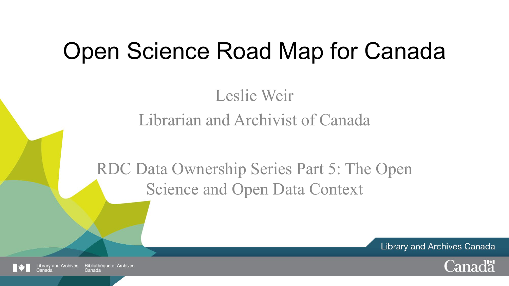# Open Science Road Map for Canada

Leslie Weir Librarian and Archivist of Canada

RDC Data Ownership Series Part 5: The Open Science and Open Data Context

**Library and Archives Canada** 



and Archives **Bibliothèque et Archives** Canada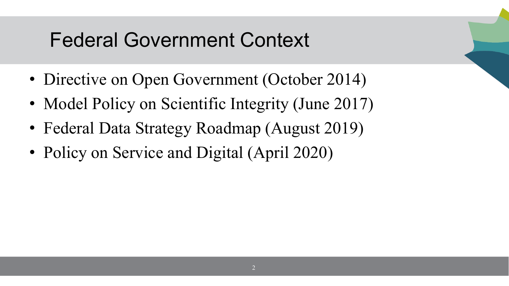## Federal Government Context

- Directive on Open Government (October 2014)
- Model Policy on Scientific Integrity (June 2017)
- Federal Data Strategy Roadmap (August 2019)
- Policy on Service and Digital (April 2020)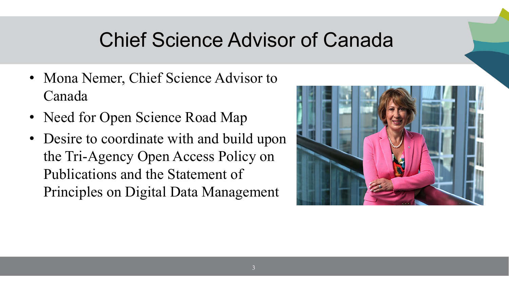## Chief Science Advisor of Canada

- Mona Nemer, Chief Science Advisor to Canada
- Need for Open Science Road Map
- Desire to coordinate with and build upon the Tri-Agency Open Access Policy on Publications and the Statement of Principles on Digital Data Management

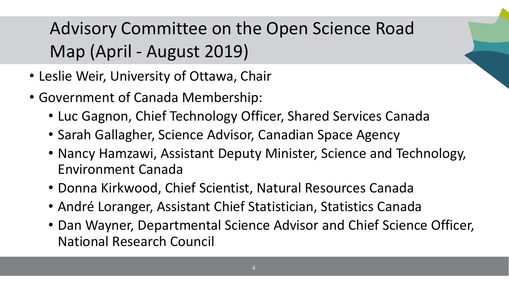## Advisory Committee on the Open Science Road Map (April - August 2019)

- Leslie Weir, University of Ottawa, Chair
- Government of Canada Membership:
	- Luc Gagnon, Chief Technology Officer, Shared Services Canada
	- Sarah Gallagher, Science Advisor, Canadian Space Agency
	- Nancy Hamzawi, Assistant Deputy Minister, Science and Technology, Environment Canada
	- Donna Kirkwood, Chief Scientist, Natural Resources Canada
	- André Loranger, Assistant Chief Statistician, Statistics Canada
	- Dan Wayner, Departmental Science Advisor and Chief Science Officer, National Research Council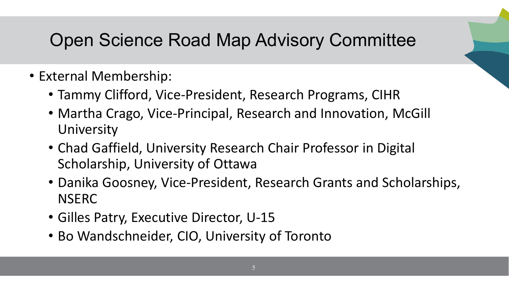#### Open Science Road Map Advisory Committee

- External Membership:
	- Tammy Clifford, Vice-President, Research Programs, CIHR
	- Martha Crago, Vice-Principal, Research and Innovation, McGill **University**
	- Chad Gaffield, University Research Chair Professor in Digital Scholarship, University of Ottawa
	- Danika Goosney, Vice-President, Research Grants and Scholarships, **NSERC**
	- Gilles Patry, Executive Director, U-15
	- Bo Wandschneider, CIO, University of Toronto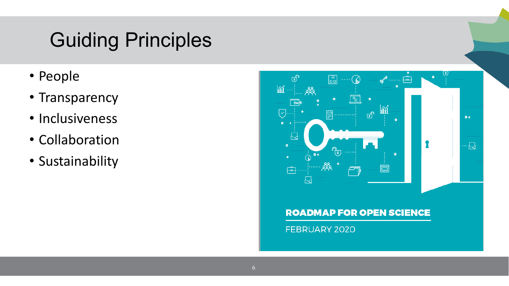## Guiding Principles

- People
- Transparency
- Inclusiveness
- Collaboration
- Sustainability

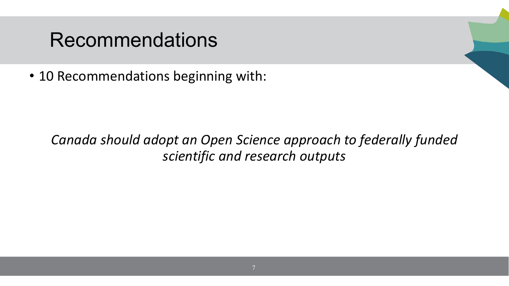#### Recommendations

• 10 Recommendations beginning with:

#### *Canada should adopt an Open Science approach to federally funded scientific and research outputs*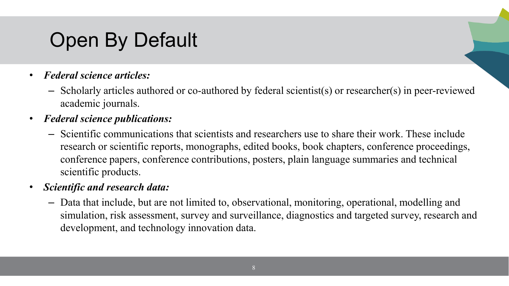## Open By Default

- *Federal science articles:* 
	- Scholarly articles authored or co-authored by federal scientist(s) or researcher(s) in peer-reviewed academic journals.
- *Federal science publications:* 
	- Scientific communications that scientists and researchers use to share their work. These include research or scientific reports, monographs, edited books, book chapters, conference proceedings, conference papers, conference contributions, posters, plain language summaries and technical scientific products.
- *Scientific and research data:*
	- Data that include, but are not limited to, observational, monitoring, operational, modelling and simulation, risk assessment, survey and surveillance, diagnostics and targeted survey, research and development, and technology innovation data.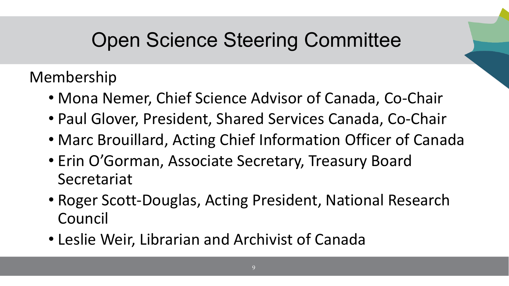## Open Science Steering Committee

Membership

- Mona Nemer, Chief Science Advisor of Canada, Co-Chair
- Paul Glover, President, Shared Services Canada, Co-Chair
- Marc Brouillard, Acting Chief Information Officer of Canada
- Erin O'Gorman, Associate Secretary, Treasury Board Secretariat
- Roger Scott-Douglas, Acting President, National Research Council
- Leslie Weir, Librarian and Archivist of Canada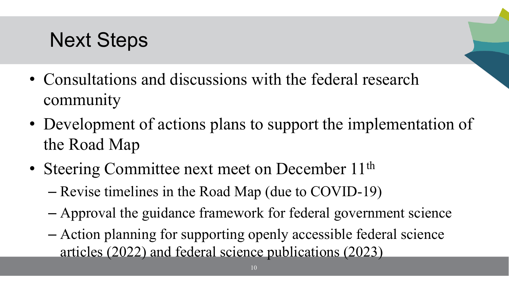## Next Steps

- Consultations and discussions with the federal research community
- Development of actions plans to support the implementation of the Road Map
- Steering Committee next meet on December 11<sup>th</sup>
	- Revise timelines in the Road Map (due to COVID-19)
	- Approval the guidance framework for federal government science
	- Action planning for supporting openly accessible federal science articles (2022) and federal science publications (2023)